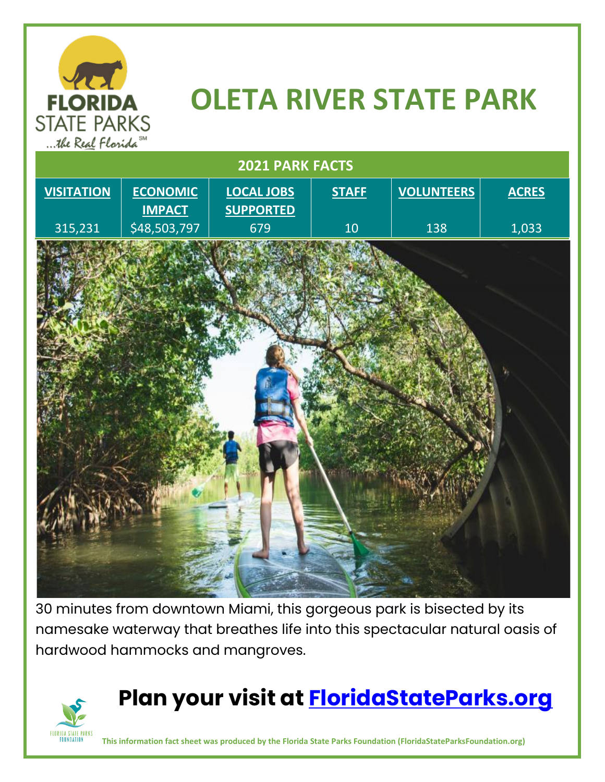

## **OLETA RIVER STATE PARK**



30 minutes from downtown Miami, this gorgeous park is bisected by its namesake waterway that breathes life into this spectacular natural oasis of hardwood hammocks and mangroves.



## **Plan your visit at [FloridaStateParks.org](http://www.floridastateparks.org/)**

**This information fact sheet was produced by the Florida State Parks Foundation (FloridaStateParksFoundation.org)**